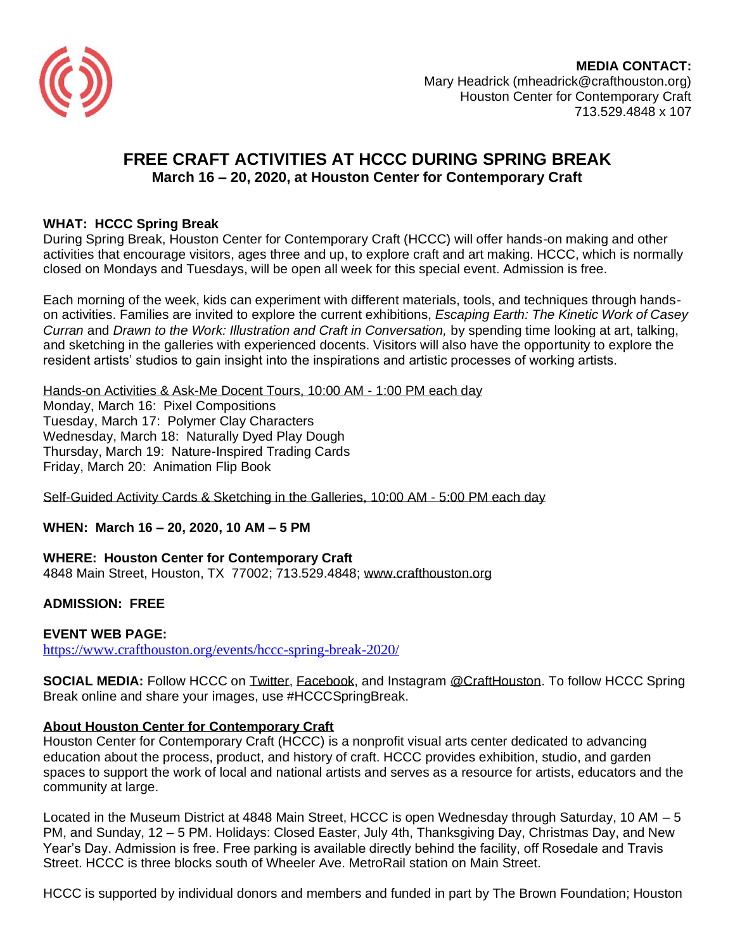

**MEDIA CONTACT:** Mary Headrick (mheadrick@crafthouston.org) Houston Center for Contemporary Craft 713.529.4848 x 107

# **FREE CRAFT ACTIVITIES AT HCCC DURING SPRING BREAK March 16 – 20, 2020, at Houston Center for Contemporary Craft**

## **WHAT: HCCC Spring Break**

During Spring Break, Houston Center for Contemporary Craft (HCCC) will offer hands-on making and other activities that encourage visitors, ages three and up, to explore craft and art making. HCCC, which is normally closed on Mondays and Tuesdays, will be open all week for this special event. Admission is free.

Each morning of the week, kids can experiment with different materials, tools, and techniques through handson activities. Families are invited to explore the current exhibitions, *Escaping Earth: The Kinetic Work of Casey Curran* and *Drawn to the Work: Illustration and Craft in Conversation,* by spending time looking at art, talking, and sketching in the galleries with experienced docents. Visitors will also have the opportunity to explore the resident artists' studios to gain insight into the inspirations and artistic processes of working artists.

Hands-on Activities & Ask-Me Docent Tours, 10:00 AM - 1:00 PM each day Monday, March 16: Pixel Compositions Tuesday, March 17: Polymer Clay Characters Wednesday, March 18: Naturally Dyed Play Dough Thursday, March 19: Nature-Inspired Trading Cards Friday, March 20: Animation Flip Book

Self-Guided Activity Cards & Sketching in the Galleries, 10:00 AM - 5:00 PM each day

### **WHEN: March 16 – 20, 2020, 10 AM – 5 PM**

**WHERE: Houston Center for Contemporary Craft** 4848 Main Street, Houston, TX 77002; 713.529.4848; [www.crafthouston.org](http://www.crafthouston.org/)

### **ADMISSION: FREE**

#### **EVENT WEB PAGE:**

<https://www.crafthouston.org/events/hccc-spring-break-2020/>

**SOCIAL MEDIA:** Follow HCCC on [Twitter,](http://twitter.com/crafthouston) [Facebook,](http://facebook.com/crafthouston) and Instagram [@CraftHouston.](http://www.instagram.com/crafthouston) To follow HCCC Spring Break online and share your images, use #HCCCSpringBreak.

### **About Houston Center for Contemporary Craft**

Houston Center for Contemporary Craft (HCCC) is a nonprofit visual arts center dedicated to advancing education about the process, product, and history of craft. HCCC provides exhibition, studio, and garden spaces to support the work of local and national artists and serves as a resource for artists, educators and the community at large.

Located in the Museum District at 4848 Main Street, HCCC is open Wednesday through Saturday, 10 AM – 5 PM, and Sunday, 12 – 5 PM. Holidays: Closed Easter, July 4th, Thanksgiving Day, Christmas Day, and New Year's Day. Admission is free. Free parking is available directly behind the facility, off Rosedale and Travis Street. HCCC is three blocks south of Wheeler Ave. MetroRail station on Main Street.

HCCC is supported by individual donors and members and funded in part by The Brown Foundation; Houston